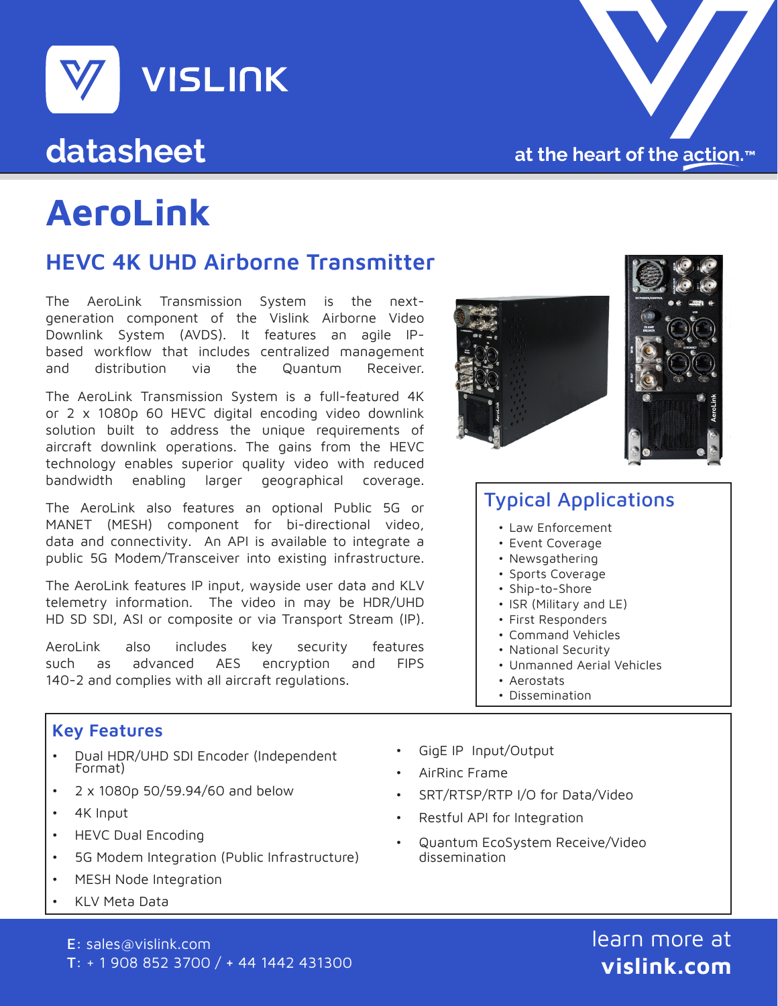



# **AeroLink**

## **HEVC 4K UHD Airborne Transmitter**

The AeroLink Transmission System is the nextgeneration component of the Vislink Airborne Video Downlink System (AVDS). It features an agile IPbased workflow that includes centralized management and distribution via the Quantum Receiver.

The AeroLink Transmission System is a full-featured 4K or 2 x 1080p 60 HEVC digital encoding video downlink solution built to address the unique requirements of aircraft downlink operations. The gains from the HEVC technology enables superior quality video with reduced bandwidth enabling larger geographical coverage.

The AeroLink also features an optional Public 5G or MANET (MESH) component for bi-directional video, data and connectivity. An API is available to integrate a public 5G Modem/Transceiver into existing infrastructure.

The AeroLink features IP input, wayside user data and KLV telemetry information. The video in may be HDR/UHD HD SD SDI, ASI or composite or via Transport Stream (IP).

AeroLink also includes key security features such as advanced AES encryption and FIPS 140-2 and complies with all aircraft regulations.





## Typical Applications

- Law Enforcement
- Event Coverage
- Newsgathering
- Sports Coverage
- Ship-to-Shore
- ISR (Military and LE)
- First Responders
- Command Vehicles
- National Security
- Unmanned Aerial Vehicles
- Aerostats
- Dissemination

### **Key Features**

- Dual HDR/UHD SDI Encoder (Independent Format)
- 2 x 1080p 50/59.94/60 and below
- 4K Input
- HEVC Dual Encoding
- 5G Modem Integration (Public Infrastructure)
- MESH Node Integration
- KLV Meta Data

#### E: sales@vislink.com T: + 1 908 852 3700 / + 44 1442 431300

- GigE IP Input/Output
- AirRinc Frame
- SRT/RTSP/RTP I/O for Data/Video
- Restful API for Integration
- Quantum EcoSystem Receive/Video dissemination

## learn more at **vislink.com**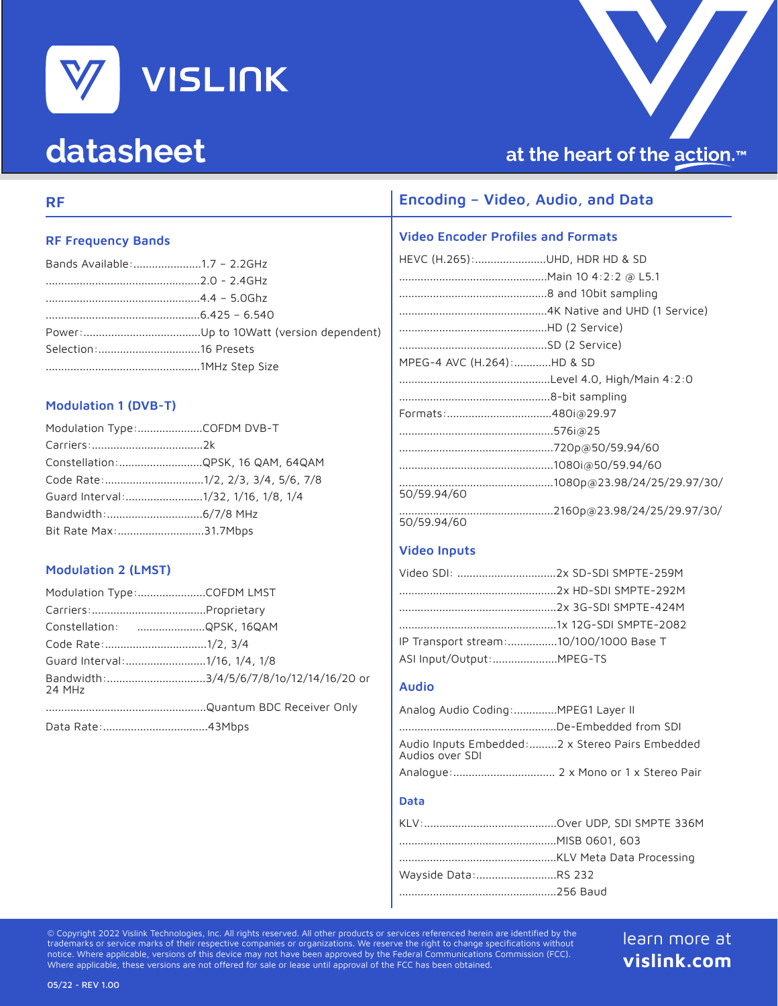



#### **RF**

#### **RF Frequency Bands**

| Bands Available:1.7 - 2.2GHz |  |
|------------------------------|--|
|                              |  |
|                              |  |
|                              |  |
|                              |  |
|                              |  |
|                              |  |
|                              |  |

#### **Modulation 1 (DVB-T)**

| Guard Interval:1/32, 1/16, 1/8, 1/4 |  |
|-------------------------------------|--|
|                                     |  |
| Bit Rate Max:31.7Mbps               |  |

#### **Modulation 2 (LMST)**

| Modulation Type:COFDM LMST    |  |
|-------------------------------|--|
|                               |  |
|                               |  |
|                               |  |
| Guard Interval:1/16, 1/4, 1/8 |  |
| 24 MHz                        |  |
|                               |  |
|                               |  |

#### **Encoding – Video, Audio, and Data**

#### **Video Encoder Profiles and Formats**

| HEVC (H.265): UHD, HDR HD & SD |  |
|--------------------------------|--|
|                                |  |
|                                |  |
|                                |  |
|                                |  |
|                                |  |
| MPEG-4 AVC (H.264):HD & SD     |  |
|                                |  |
|                                |  |
|                                |  |
|                                |  |
|                                |  |
|                                |  |
|                                |  |
| 50/59.94/60                    |  |
| 50/59.94/60                    |  |

#### **Video Inputs**

| IP Transport stream:10/100/1000 Base T |  |
|----------------------------------------|--|
|                                        |  |

#### **Audio**

| Analog Audio Coding:MPEG1 Layer II                                 |  |
|--------------------------------------------------------------------|--|
|                                                                    |  |
| Audio Inputs Embedded:2 x Stereo Pairs Embedded<br>Audios over SDI |  |
|                                                                    |  |

#### **Data**

| Wayside Data:RS 232 |  |
|---------------------|--|
|                     |  |

© Copyright 2022 Vislink Technologies, Inc. All rights reserved. All other products or services referenced herein are identified by the trademarks or service marks of their respective companies or organizations. We reserve the right to change specifications without notice. Where applicable, versions of this device may not have been approved by the Federal Communications Commission (FCC). Where applicable, these versions are not offered for sale or lease until approval of the FCC has been obtained.

learn more at **vislink.com**